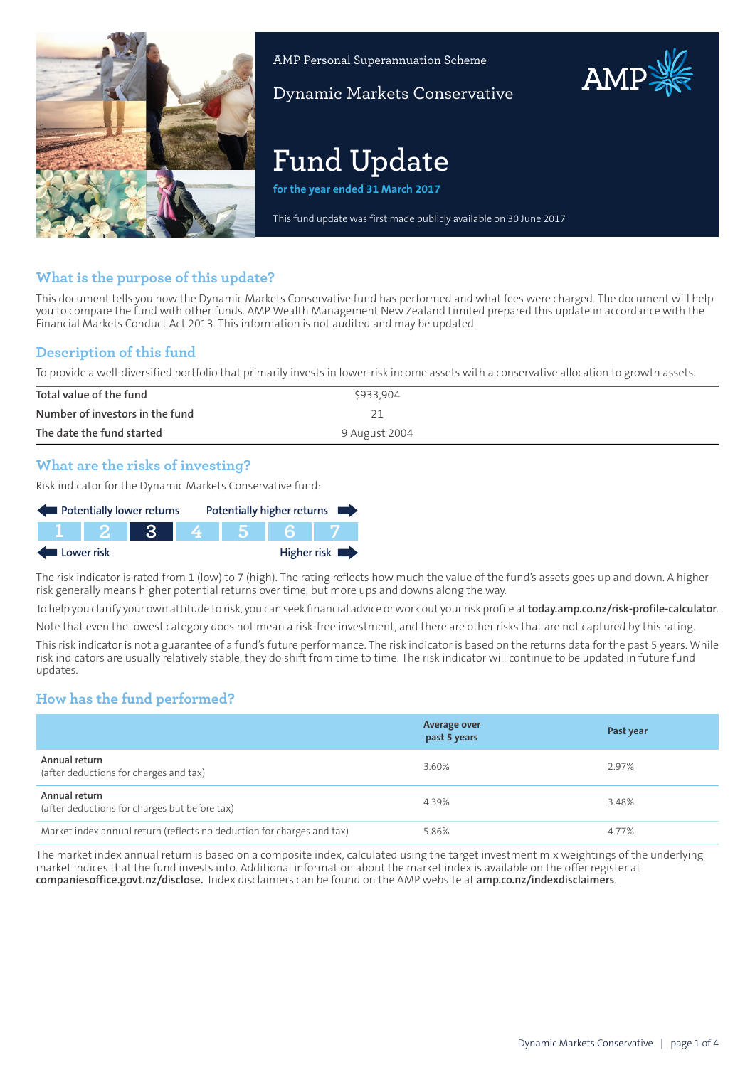

AMP Personal Superannuation Scheme

Dynamic Markets Conservative

# **Fund Update**

**for the year ended 31 March 2017**

This fund update was first made publicly available on 30 June 2017

### **What is the purpose of this update?**

This document tells you how the Dynamic Markets Conservative fund has performed and what fees were charged. The document will help you to compare the fund with other funds. AMP Wealth Management New Zealand Limited prepared this update in accordance with the Financial Markets Conduct Act 2013. This information is not audited and may be updated.

## **Description of this fund**

To provide a well-diversified portfolio that primarily invests in lower-risk income assets with a conservative allocation to growth assets.

| Total value of the fund         | \$933,904     |
|---------------------------------|---------------|
| Number of investors in the fund |               |
| The date the fund started       | 9 August 2004 |

## **What are the risks of investing?**

Risk indicator for the Dynamic Markets Conservative fund:



The risk indicator is rated from 1 (low) to 7 (high). The rating reflects how much the value of the fund's assets goes up and down. A higher risk generally means higher potential returns over time, but more ups and downs along the way.

To help you clarify your own attitude to risk, you can seek financial advice orwork out yourrisk profile at**[today.amp.co.nz/risk-profile-calculator](http://today.amp.co.nz/risk-profile-calculator)**.

Note that even the lowest category does not mean a risk-free investment, and there are other risks that are not captured by this rating.

This risk indicator is not a guarantee of a fund's future performance. The risk indicator is based on the returns data for the past 5 years. While risk indicators are usually relatively stable, they do shift from time to time. The risk indicator will continue to be updated in future fund updates.

## **How has the fund performed?**

|                                                                        | <b>Average over</b><br>past 5 years | Past year |
|------------------------------------------------------------------------|-------------------------------------|-----------|
| Annual return<br>(after deductions for charges and tax)                | 3.60%                               | 2.97%     |
| Annual return<br>(after deductions for charges but before tax)         | 4.39%                               | 3.48%     |
| Market index annual return (reflects no deduction for charges and tax) | 5.86%                               | 4.77%     |

The market index annual return is based on a composite index, calculated using the target investment mix weightings of the underlying market indices that the fund invests into. Additional information about the market index is available on the offer register at **[companiesoffice.govt.nz/disclose](http://companiesoffice.govt.nz/disclose).** Index disclaimers can be found on the AMP website at **[amp.co.nz/indexdisclaimers](http://amp.co.nz/indexdisclaimers)**.

AMP.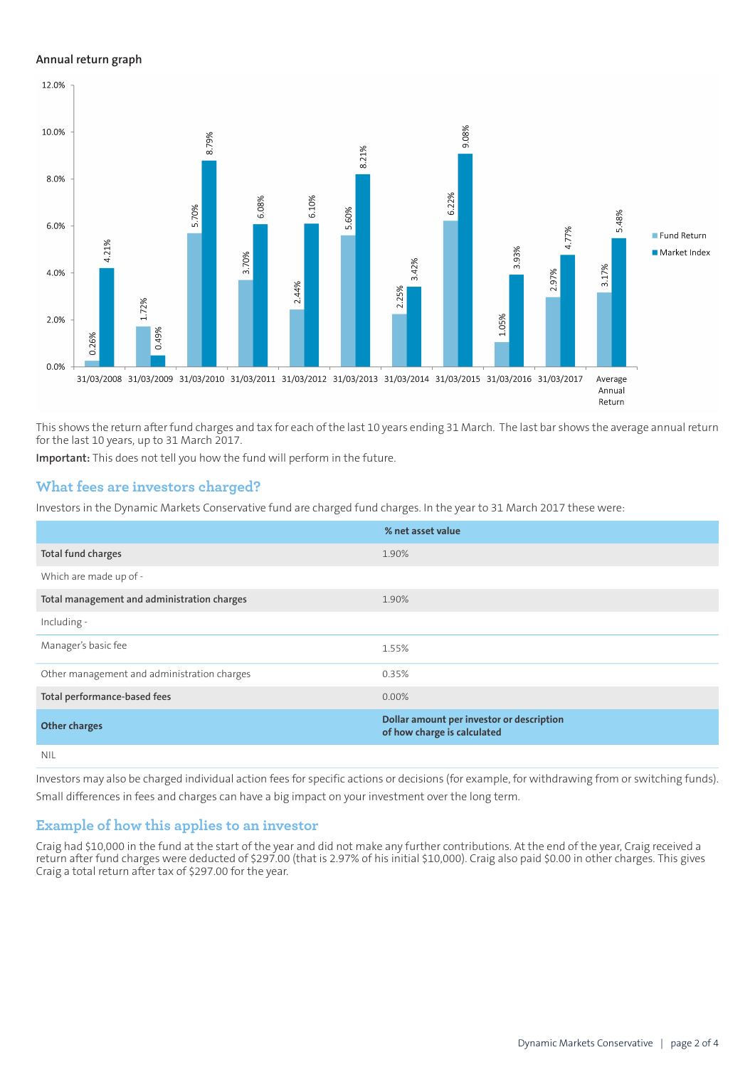#### **Annual return graph**



This shows the return after fund charges and tax for each of the last 10 years ending 31 March. The last bar shows the average annual return for the last 10 years, up to 31 March 2017.

**Important:** This does not tell you how the fund will perform in the future.

#### **What fees are investors charged?**

Investors in the Dynamic Markets Conservative fund are charged fund charges. In the year to 31 March 2017 these were:

|                                             | % net asset value                                                        |
|---------------------------------------------|--------------------------------------------------------------------------|
| Total fund charges                          | 1.90%                                                                    |
| Which are made up of -                      |                                                                          |
| Total management and administration charges | 1.90%                                                                    |
| Including -                                 |                                                                          |
| Manager's basic fee                         | 1.55%                                                                    |
| Other management and administration charges | 0.35%                                                                    |
| Total performance-based fees                | $0.00\%$                                                                 |
| <b>Other charges</b>                        | Dollar amount per investor or description<br>of how charge is calculated |
| <b>NIL</b>                                  |                                                                          |

Investors may also be charged individual action fees for specific actions or decisions (for example, for withdrawing from or switching funds). Small differences in fees and charges can have a big impact on your investment over the long term.

#### **Example of how this applies to an investor**

Craig had \$10,000 in the fund at the start of the year and did not make any further contributions. At the end of the year, Craig received a return after fund charges were deducted of \$297.00 (that is 2.97% of his initial \$10,000). Craig also paid \$0.00 in other charges. This gives Craig a total return after tax of \$297.00 for the year.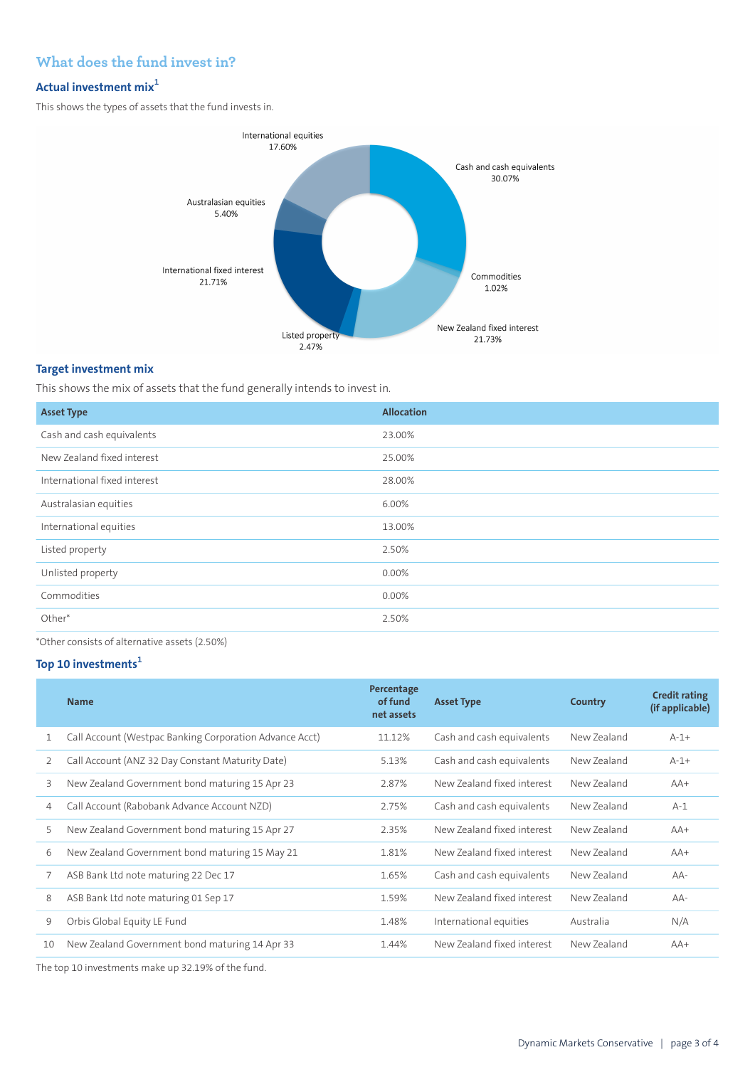## **What does the fund invest in?**

## **Actual investment mix<sup>1</sup>**

This shows the types of assets that the fund invests in.



#### **Target investment mix**

This shows the mix of assets that the fund generally intends to invest in.

| <b>Asset Type</b>            | <b>Allocation</b> |
|------------------------------|-------------------|
| Cash and cash equivalents    | 23.00%            |
| New Zealand fixed interest   | 25.00%            |
| International fixed interest | 28.00%            |
| Australasian equities        | 6.00%             |
| International equities       | 13.00%            |
| Listed property              | 2.50%             |
| Unlisted property            | 0.00%             |
| Commodities                  | 0.00%             |
| Other*                       | 2.50%             |
|                              |                   |

\*Other consists of alternative assets (2.50%)

## **Top 10 investments<sup>1</sup>**

|    | <b>Name</b>                                             | Percentage<br>of fund<br>net assets | <b>Asset Type</b>          | Country     | <b>Credit rating</b><br>(if applicable) |
|----|---------------------------------------------------------|-------------------------------------|----------------------------|-------------|-----------------------------------------|
| 1  | Call Account (Westpac Banking Corporation Advance Acct) | 11.12%                              | Cash and cash equivalents  | New Zealand | $A-1+$                                  |
| 2  | Call Account (ANZ 32 Day Constant Maturity Date)        | 5.13%                               | Cash and cash equivalents  | New Zealand | $A - 1 +$                               |
| 3  | New Zealand Government bond maturing 15 Apr 23          | 2.87%                               | New Zealand fixed interest | New Zealand | $AA+$                                   |
| 4  | Call Account (Rabobank Advance Account NZD)             | 2.75%                               | Cash and cash equivalents  | New Zealand | $A-1$                                   |
| 5  | New Zealand Government bond maturing 15 Apr 27          | 2.35%                               | New Zealand fixed interest | New Zealand | $AA+$                                   |
| 6  | New Zealand Government bond maturing 15 May 21          | 1.81%                               | New Zealand fixed interest | New Zealand | $AA+$                                   |
|    | ASB Bank Ltd note maturing 22 Dec 17                    | 1.65%                               | Cash and cash equivalents  | New Zealand | AA-                                     |
| 8  | ASB Bank Ltd note maturing 01 Sep 17                    | 1.59%                               | New Zealand fixed interest | New Zealand | AA-                                     |
| 9  | Orbis Global Equity LE Fund                             | 1.48%                               | International equities     | Australia   | N/A                                     |
| 10 | New Zealand Government bond maturing 14 Apr 33          | 1.44%                               | New Zealand fixed interest | New Zealand | $AA+$                                   |
|    |                                                         |                                     |                            |             |                                         |

The top 10 investments make up 32.19% of the fund.